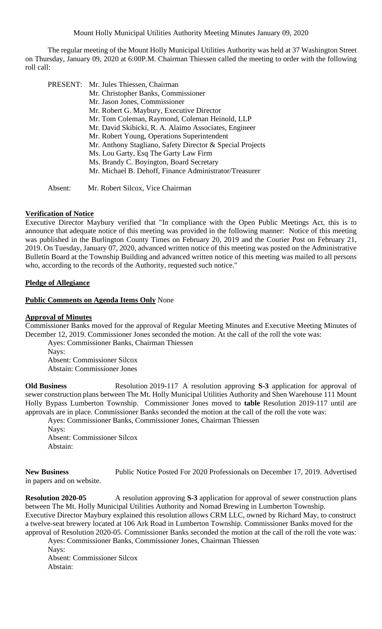The regular meeting of the Mount Holly Municipal Utilities Authority was held at 37 Washington Street on Thursday, January 09, 2020 at 6:00P.M. Chairman Thiessen called the meeting to order with the following roll call:

| PRESENT: Mr. Jules Thiessen, Chairman                     |
|-----------------------------------------------------------|
| Mr. Christopher Banks, Commissioner                       |
| Mr. Jason Jones, Commissioner                             |
| Mr. Robert G. Maybury, Executive Director                 |
| Mr. Tom Coleman, Raymond, Coleman Heinold, LLP            |
| Mr. David Skibicki, R. A. Alaimo Associates, Engineer     |
| Mr. Robert Young, Operations Superintendent               |
| Mr. Anthony Stagliano, Safety Director & Special Projects |
| Ms. Lou Garty, Esq The Garty Law Firm                     |
| Ms. Brandy C. Boyington, Board Secretary                  |
| Mr. Michael B. Dehoff, Finance Administrator/Treasurer    |
|                                                           |

**Verification of Notice**

Executive Director Maybury verified that "In compliance with the Open Public Meetings Act, this is to announce that adequate notice of this meeting was provided in the following manner: Notice of this meeting was published in the Burlington County Times on February 20, 2019 and the Courier Post on February 21, 2019. On Tuesday, January 07, 2020, advanced written notice of this meeting was posted on the Administrative Bulletin Board at the Township Building and advanced written notice of this meeting was mailed to all persons who, according to the records of the Authority, requested such notice."

### **Pledge of Allegiance**

#### **Public Comments on Agenda Items Only** None

Absent: Mr. Robert Silcox, Vice Chairman

## **Approval of Minutes**

Commissioner Banks moved for the approval of Regular Meeting Minutes and Executive Meeting Minutes of December 12, 2019. Commissioner Jones seconded the motion. At the call of the roll the vote was:

Ayes: Commissioner Banks, Chairman Thiessen Nays: Absent: Commissioner Silcox Abstain: Commissioner Jones

**Old Business** Resolution 2019-117 A resolution approving **S-3** application for approval of sewer construction plans between The Mt. Holly Municipal Utilities Authority and Shen Warehouse 111 Mount Holly Bypass Lumberton Township.Commissioner Jones moved to **table** Resolution 2019-117 until are approvals are in place. Commissioner Banks seconded the motion at the call of the roll the vote was:

Ayes: Commissioner Banks, Commissioner Jones, Chairman Thiessen Nays:

Absent: Commissioner Silcox Abstain:

**New Business** Public Notice Posted For 2020 Professionals on December 17, 2019. Advertised in papers and on website.

**Resolution 2020-05** A resolution approving S-3 application for approval of sewer construction plans between The Mt. Holly Municipal Utilities Authority and Nomad Brewing in Lumberton Township. Executive Director Maybury explained this resolution allows CRM LLC, owned by Richard May, to construct a twelve-seat brewery located at 106 Ark Road in Lumberton Township. Commissioner Banks moved for the approval of Resolution 2020-05. Commissioner Banks seconded the motion at the call of the roll the vote was:

Ayes: Commissioner Banks, Commissioner Jones, Chairman Thiessen Nays:

Absent: Commissioner Silcox Abstain: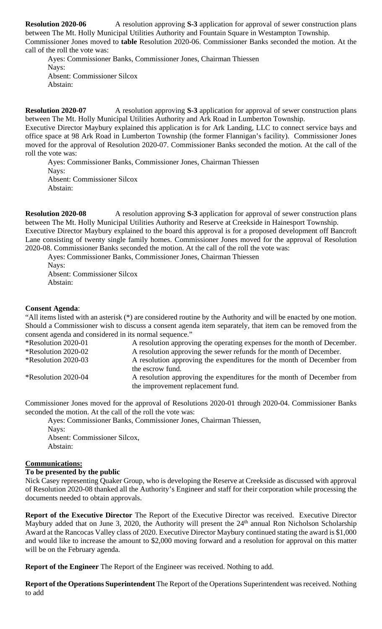**Resolution 2020-06** A resolution approving S-3 application for approval of sewer construction plans between The Mt. Holly Municipal Utilities Authority and Fountain Square in Westampton Township. Commissioner Jones moved to **table** Resolution 2020-06. Commissioner Banks seconded the motion. At the call of the roll the vote was:

Ayes: Commissioner Banks, Commissioner Jones, Chairman Thiessen Nays: Absent: Commissioner Silcox Abstain:

**Resolution 2020-07** A resolution approving S-3 application for approval of sewer construction plans between The Mt. Holly Municipal Utilities Authority and Ark Road in Lumberton Township.

Executive Director Maybury explained this application is for Ark Landing, LLC to connect service bays and office space at 98 Ark Road in Lumberton Township (the former Flannigan's facility). Commissioner Jones moved for the approval of Resolution 2020-07. Commissioner Banks seconded the motion. At the call of the roll the vote was:

Ayes: Commissioner Banks, Commissioner Jones, Chairman Thiessen Nays: Absent: Commissioner Silcox Abstain:

**Resolution 2020-08** A resolution approving **S-3** application for approval of sewer construction plans between The Mt. Holly Municipal Utilities Authority and Reserve at Creekside in Hainesport Township. Executive Director Maybury explained to the board this approval is for a proposed development off Bancroft Lane consisting of twenty single family homes. Commissioner Jones moved for the approval of Resolution 2020-08. Commissioner Banks seconded the motion. At the call of the roll the vote was:

Ayes: Commissioner Banks, Commissioner Jones, Chairman Thiessen

Nays: Absent: Commissioner Silcox Abstain:

# **Consent Agenda**:

"All items listed with an asterisk (\*) are considered routine by the Authority and will be enacted by one motion. Should a Commissioner wish to discuss a consent agenda item separately, that item can be removed from the consent agenda and considered in its normal sequence."

\*Resolution 2020-01 A resolution approving the operating expenses for the month of December. \*Resolution 2020-02 A resolution approving the sewer refunds for the month of December. \*Resolution 2020-03 A resolution approving the expenditures for the month of December from the escrow fund. \*Resolution 2020-04 A resolution approving the expenditures for the month of December from the improvement replacement fund.

Commissioner Jones moved for the approval of Resolutions 2020-01 through 2020-04. Commissioner Banks seconded the motion. At the call of the roll the vote was:

Ayes: Commissioner Banks, Commissioner Jones, Chairman Thiessen, Navs: Absent: Commissioner Silcox, Abstain:

### **Communications:**

### **To be presented by the public**

Nick Casey representing Quaker Group, who is developing the Reserve at Creekside as discussed with approval of Resolution 2020-08 thanked all the Authority's Engineer and staff for their corporation while processing the documents needed to obtain approvals.

**Report of the Executive Director** The Report of the Executive Director was received. Executive Director Maybury added that on June 3, 2020, the Authority will present the  $24<sup>th</sup>$  annual Ron Nicholson Scholarship Award at the Rancocas Valley class of 2020. Executive Director Maybury continued stating the award is \$1,000 and would like to increase the amount to \$2,000 moving forward and a resolution for approval on this matter will be on the February agenda.

**Report of the Engineer** The Report of the Engineer was received. Nothing to add.

**Report of the Operations Superintendent** The Report of the Operations Superintendent was received. Nothing to add